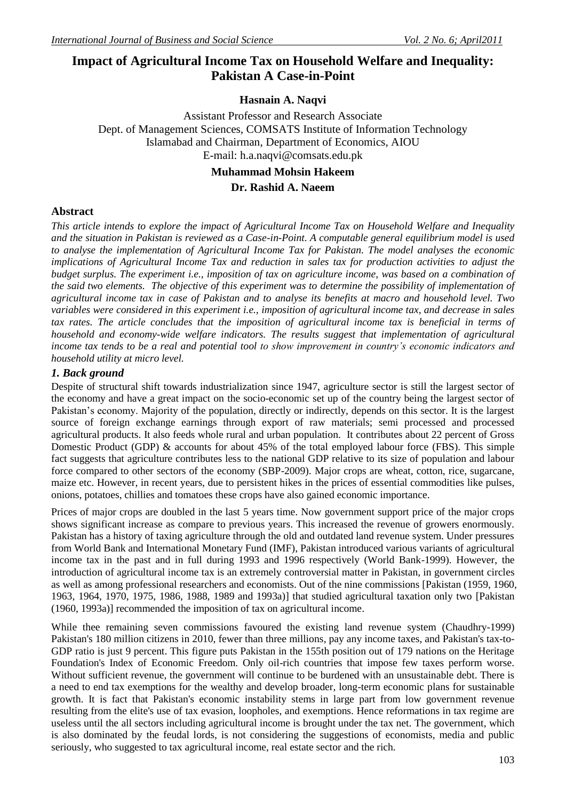# **Impact of Agricultural Income Tax on Household Welfare and Inequality: Pakistan A Case-in-Point**

### **Hasnain A. Naqvi**

Assistant Professor and Research Associate Dept. of Management Sciences, COMSATS Institute of Information Technology Islamabad and Chairman, Department of Economics, AIOU E-mail: h.a.naqvi@comsats.edu.pk

#### **Muhammad Mohsin Hakeem Dr. Rashid A. Naeem**

#### **Abstract**

*This article intends to explore the impact of Agricultural Income Tax on Household Welfare and Inequality and the situation in Pakistan is reviewed as a Case-in-Point. A computable general equilibrium model is used to analyse the implementation of Agricultural Income Tax for Pakistan. The model analyses the economic implications of Agricultural Income Tax and reduction in sales tax for production activities to adjust the budget surplus. The experiment i.e., imposition of tax on agriculture income, was based on a combination of the said two elements. The objective of this experiment was to determine the possibility of implementation of agricultural income tax in case of Pakistan and to analyse its benefits at macro and household level. Two variables were considered in this experiment i.e., imposition of agricultural income tax, and decrease in sales tax rates. The article concludes that the imposition of agricultural income tax is beneficial in terms of household and economy-wide welfare indicators. The results suggest that implementation of agricultural income tax tends to be a real and potential tool to show improvement in country's economic indicators and household utility at micro level.*

#### *1. Back ground*

Despite of structural shift towards industrialization since 1947, agriculture sector is still the largest sector of the economy and have a great impact on the socio-economic set up of the country being the largest sector of Pakistan"s economy. Majority of the population, directly or indirectly, depends on this sector. It is the largest source of foreign exchange earnings through export of raw materials; semi processed and processed agricultural products. It also feeds whole rural and urban population. It contributes about 22 percent of Gross Domestic Product (GDP) & accounts for about 45% of the total employed labour force (FBS). This simple fact suggests that agriculture contributes less to the national GDP relative to its size of population and labour force compared to other sectors of the economy (SBP-2009). Major crops are wheat, cotton, rice, sugarcane, maize etc. However, in recent years, due to persistent hikes in the prices of essential commodities like pulses, onions, potatoes, chillies and tomatoes these crops have also gained economic importance.

Prices of major crops are doubled in the last 5 years time. Now government support price of the major crops shows significant increase as compare to previous years. This increased the revenue of growers enormously. Pakistan has a history of taxing agriculture through the old and outdated land revenue system. Under pressures from World Bank and International Monetary Fund (IMF), Pakistan introduced various variants of agricultural income tax in the past and in full during 1993 and 1996 respectively (World Bank-1999). However, the introduction of agricultural income tax is an extremely controversial matter in Pakistan, in government circles as well as among professional researchers and economists. Out of the nine commissions [Pakistan (1959, 1960, 1963, 1964, 1970, 1975, 1986, 1988, 1989 and 1993a)] that studied agricultural taxation only two [Pakistan (1960, 1993a)] recommended the imposition of tax on agricultural income.

While thee remaining seven commissions favoured the existing land revenue system (Chaudhry-1999) Pakistan's 180 million citizens in 2010, fewer than three millions, pay any income taxes, and Pakistan's tax-to-GDP ratio is just 9 percent. This figure puts Pakistan in the 155th position out of 179 nations on the Heritage Foundation's Index of Economic Freedom. Only oil-rich countries that impose few taxes perform worse. Without sufficient revenue, the government will continue to be burdened with an unsustainable debt. There is a need to end tax exemptions for the wealthy and develop broader, long-term economic plans for sustainable growth. It is fact that Pakistan's economic instability stems in large part from low government revenue resulting from the elite's use of tax evasion, loopholes, and exemptions. Hence reformations in tax regime are useless until the all sectors including agricultural income is brought under the tax net. The government, which is also dominated by the feudal lords, is not considering the suggestions of economists, media and public seriously, who suggested to tax agricultural income, real estate sector and the rich.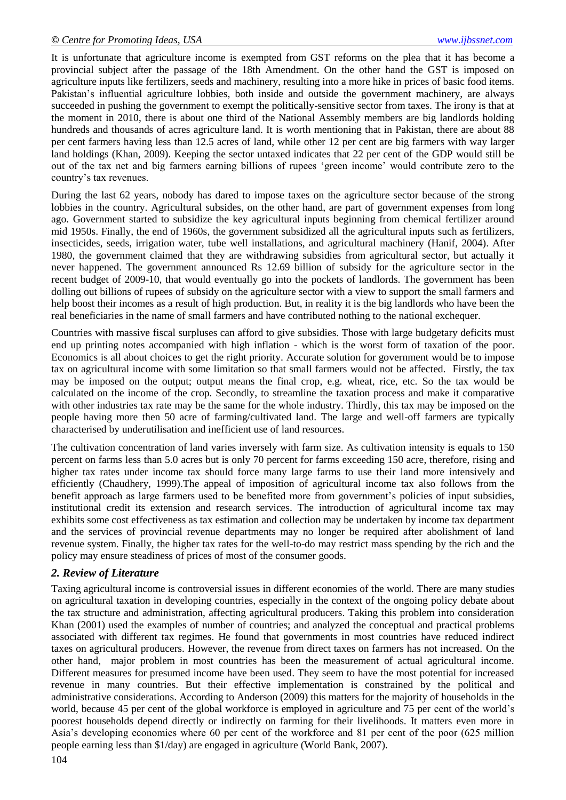It is unfortunate that agriculture income is exempted from GST reforms on the plea that it has become a provincial subject after the passage of the 18th Amendment. On the other hand the GST is imposed on agriculture inputs like fertilizers, seeds and machinery, resulting into a more hike in prices of basic food items. Pakistan"s influential agriculture lobbies, both inside and outside the government machinery, are always succeeded in pushing the government to exempt the politically-sensitive sector from taxes. The irony is that at the moment in 2010, there is about one third of the National Assembly members are big landlords holding hundreds and thousands of acres agriculture land. It is worth mentioning that in Pakistan, there are about 88 per cent farmers having less than 12.5 acres of land, while other 12 per cent are big farmers with way larger land holdings (Khan, 2009). Keeping the sector untaxed indicates that 22 per cent of the GDP would still be out of the tax net and big farmers earning billions of rupees "green income" would contribute zero to the country"s tax revenues.

During the last 62 years, nobody has dared to impose taxes on the agriculture sector because of the strong lobbies in the country. Agricultural subsides, on the other hand, are part of government expenses from long ago. Government started to subsidize the key agricultural inputs beginning from chemical fertilizer around mid 1950s. Finally, the end of 1960s, the government subsidized all the agricultural inputs such as fertilizers, insecticides, seeds, irrigation water, tube well installations, and agricultural machinery (Hanif, 2004). After 1980, the government claimed that they are withdrawing subsidies from agricultural sector, but actually it never happened. The government announced Rs 12.69 billion of subsidy for the agriculture sector in the recent budget of 2009-10, that would eventually go into the pockets of landlords. The government has been dolling out billions of rupees of subsidy on the agriculture sector with a view to support the small farmers and help boost their incomes as a result of high production. But, in reality it is the big landlords who have been the real beneficiaries in the name of small farmers and have contributed nothing to the national exchequer.

Countries with massive fiscal surpluses can afford to give subsidies. Those with large budgetary deficits must end up printing notes accompanied with high inflation - which is the worst form of taxation of the poor. Economics is all about choices to get the right priority. Accurate solution for government would be to impose tax on agricultural income with some limitation so that small farmers would not be affected. Firstly, the tax may be imposed on the output; output means the final crop, e.g. wheat, rice, etc. So the tax would be calculated on the income of the crop. Secondly, to streamline the taxation process and make it comparative with other industries tax rate may be the same for the whole industry. Thirdly, this tax may be imposed on the people having more then 50 acre of farming/cultivated land. The large and well-off farmers are typically characterised by underutilisation and inefficient use of land resources.

The cultivation concentration of land varies inversely with farm size. As cultivation intensity is equals to 150 percent on farms less than 5.0 acres but is only 70 percent for farms exceeding 150 acre, therefore, rising and higher tax rates under income tax should force many large farms to use their land more intensively and efficiently (Chaudhery, 1999).The appeal of imposition of agricultural income tax also follows from the benefit approach as large farmers used to be benefited more from government"s policies of input subsidies, institutional credit its extension and research services. The introduction of agricultural income tax may exhibits some cost effectiveness as tax estimation and collection may be undertaken by income tax department and the services of provincial revenue departments may no longer be required after abolishment of land revenue system. Finally, the higher tax rates for the well-to-do may restrict mass spending by the rich and the policy may ensure steadiness of prices of most of the consumer goods.

#### *2. Review of Literature*

Taxing agricultural income is controversial issues in different economies of the world. There are many studies on agricultural taxation in developing countries, especially in the context of the ongoing policy debate about the tax structure and administration, affecting agricultural producers. Taking this problem into consideration Khan (2001) used the examples of number of countries; and analyzed the conceptual and practical problems associated with different tax regimes. He found that governments in most countries have reduced indirect taxes on agricultural producers. However, the revenue from direct taxes on farmers has not increased. On the other hand, major problem in most countries has been the measurement of actual agricultural income. Different measures for presumed income have been used. They seem to have the most potential for increased revenue in many countries. But their effective implementation is constrained by the political and administrative considerations. According to Anderson (2009) this matters for the majority of households in the world, because 45 per cent of the global workforce is employed in agriculture and 75 per cent of the world's poorest households depend directly or indirectly on farming for their livelihoods. It matters even more in Asia"s developing economies where 60 per cent of the workforce and 81 per cent of the poor (625 million people earning less than \$1/day) are engaged in agriculture (World Bank, 2007).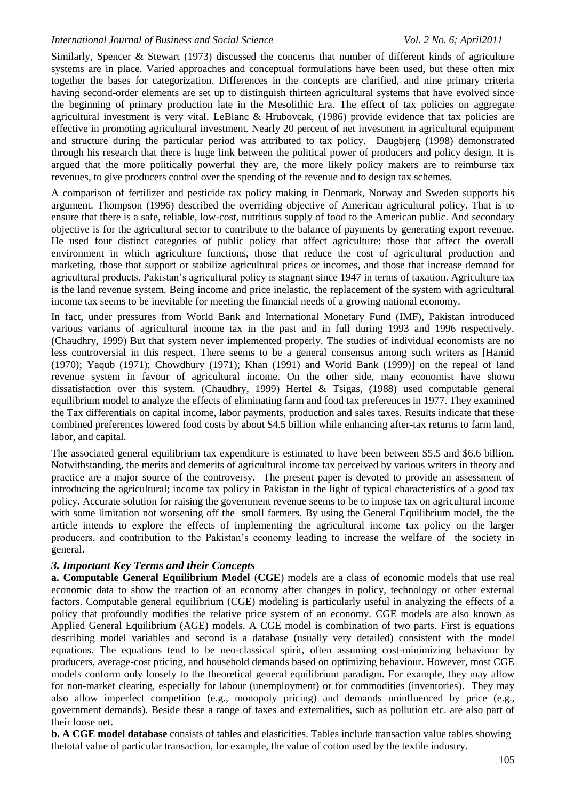Similarly, Spencer & Stewart (1973) discussed the concerns that number of different kinds of agriculture systems are in place. Varied approaches and conceptual formulations have been used, but these often mix together the bases for categorization. Differences in the concepts are clarified, and nine primary criteria having second-order elements are set up to distinguish thirteen agricultural systems that have evolved since the beginning of primary production late in the Mesolithic Era. The effect of tax policies on aggregate agricultural investment is very vital. LeBlanc & Hrubovcak, (1986) provide evidence that tax policies are effective in promoting agricultural investment. Nearly 20 percent of net investment in agricultural equipment and structure during the particular period was attributed to tax policy. Daugbjerg (1998) demonstrated through his research that there is huge link between the political power of producers and policy design. It is argued that the more politically powerful they are, the more likely policy makers are to reimburse tax revenues, to give producers control over the spending of the revenue and to design tax schemes.

A comparison of fertilizer and pesticide tax policy making in Denmark, Norway and Sweden supports his argument. Thompson (1996) described the overriding objective of American agricultural policy. That is to ensure that there is a safe, reliable, low-cost, nutritious supply of food to the American public. And secondary objective is for the agricultural sector to contribute to the balance of payments by generating export revenue. He used four distinct categories of public policy that affect agriculture: those that affect the overall environment in which agriculture functions, those that reduce the cost of agricultural production and marketing, those that support or stabilize agricultural prices or incomes, and those that increase demand for agricultural products. Pakistan"s agricultural policy is stagnant since 1947 in terms of taxation. Agriculture tax is the land revenue system. Being income and price inelastic, the replacement of the system with agricultural income tax seems to be inevitable for meeting the financial needs of a growing national economy.

In fact, under pressures from World Bank and International Monetary Fund (IMF), Pakistan introduced various variants of agricultural income tax in the past and in full during 1993 and 1996 respectively. (Chaudhry, 1999) But that system never implemented properly. The studies of individual economists are no less controversial in this respect. There seems to be a general consensus among such writers as [Hamid (1970); Yaqub (1971); Chowdhury (1971); Khan (1991) and World Bank (1999)] on the repeal of land revenue system in favour of agricultural income. On the other side, many economist have shown dissatisfaction over this system. (Chaudhry, 1999) Hertel & Tsigas, (1988) used computable general equilibrium model to analyze the effects of eliminating farm and food tax preferences in 1977. They examined the Tax differentials on capital income, labor payments, production and sales taxes. Results indicate that these combined preferences lowered food costs by about \$4.5 billion while enhancing after-tax returns to farm land, labor, and capital.

The associated general equilibrium tax expenditure is estimated to have been between \$5.5 and \$6.6 billion. Notwithstanding, the merits and demerits of agricultural income tax perceived by various writers in theory and practice are a major source of the controversy. The present paper is devoted to provide an assessment of introducing the agricultural; income tax policy in Pakistan in the light of typical characteristics of a good tax policy. Accurate solution for raising the government revenue seems to be to impose tax on agricultural income with some limitation not worsening off the small farmers. By using the General Equilibrium model, the the article intends to explore the effects of implementing the agricultural income tax policy on the larger producers, and contribution to the Pakistan"s economy leading to increase the welfare of the society in general.

#### *3. Important Key Terms and their Concepts*

**a. Computable General Equilibrium Model (CGE)** models are a class of economic models that use real economic data to show the reaction of an economy after changes in policy, technology or other external factors. Computable general equilibrium (CGE) modeling is particularly useful in analyzing the effects of a policy that profoundly modifies the relative price system of an economy. CGE models are also known as Applied General Equilibrium (AGE) models. A CGE model is combination of two parts. First is equations describing model variables and second is a database (usually very detailed) consistent with the model equations. The equations tend to be neo-classical spirit, often assuming cost-minimizing behaviour by producers, average-cost pricing, and household demands based on optimizing behaviour. However, most CGE models conform only loosely to the theoretical general equilibrium paradigm. For example, they may allow for non-market clearing, especially for labour (unemployment) or for commodities (inventories). They may also allow imperfect competition (e.g., monopoly pricing) and demands uninfluenced by price (e.g., government demands). Beside these a range of taxes and externalities, such as pollution etc. are also part of their loose net.

**b. A CGE model database** consists of tables and elasticities. Tables include transaction value tables showing thetotal value of particular transaction, for example, the value of cotton used by the textile industry.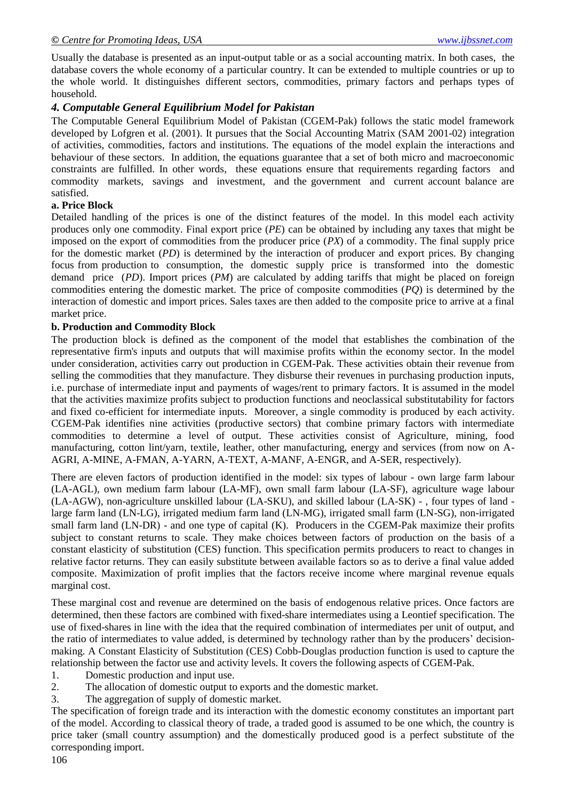Usually the database is presented as an input-output table or as a social accounting matrix. In both cases, the database covers the whole economy of a particular country. It can be extended to multiple countries or up to the whole world. It distinguishes different sectors, commodities, primary factors and perhaps types of household.

### *4. Computable General Equilibrium Model for Pakistan*

The Computable General Equilibrium Model of Pakistan (CGEM-Pak) follows the static model framework developed by Lofgren et al. (2001). It pursues that the Social Accounting Matrix (SAM 2001-02) integration of activities, commodities, factors and institutions. The equations of the model explain the interactions and behaviour of these sectors. In addition, the equations guarantee that a set of both micro and macroeconomic constraints are fulfilled. In other words, these equations ensure that requirements regarding factors and commodity markets, savings and investment, and the government and current account balance are satisfied.

#### **a. Price Block**

Detailed handling of the prices is one of the distinct features of the model. In this model each activity produces only one commodity. Final export price (*PE*) can be obtained by including any taxes that might be imposed on the export of commodities from the producer price (*PX*) of a commodity. The final supply price for the domestic market (*PD*) is determined by the interaction of producer and export prices. By changing focus from production to consumption, the domestic supply price is transformed into the domestic demand price (*PD*). Import prices (*PM*) are calculated by adding tariffs that might be placed on foreign commodities entering the domestic market. The price of composite commodities (*PQ*) is determined by the interaction of domestic and import prices. Sales taxes are then added to the composite price to arrive at a final market price.

#### **b. Production and Commodity Block**

The production block is defined as the component of the model that establishes the combination of the representative firm's inputs and outputs that will maximise profits within the economy sector. In the model under consideration, activities carry out production in CGEM-Pak. These activities obtain their revenue from selling the commodities that they manufacture. They disburse their revenues in purchasing production inputs, i.e. purchase of intermediate input and payments of wages/rent to primary factors. It is assumed in the model that the activities maximize profits subject to production functions and neoclassical substitutability for factors and fixed co-efficient for intermediate inputs. Moreover, a single commodity is produced by each activity. CGEM-Pak identifies nine activities (productive sectors) that combine primary factors with intermediate commodities to determine a level of output. These activities consist of Agriculture, mining, food manufacturing, cotton lint/yarn, textile, leather, other manufacturing, energy and services (from now on A-AGRI, A-MINE, A-FMAN, A-YARN, A-TEXT, A-MANF, A-ENGR, and A-SER, respectively).

There are eleven factors of production identified in the model: six types of labour - own large farm labour (LA-AGL), own medium farm labour (LA-MF), own small farm labour (LA-SF), agriculture wage labour (LA-AGW), non-agriculture unskilled labour (LA-SKU), and skilled labour (LA-SK) - , four types of land large farm land (LN-LG), irrigated medium farm land (LN-MG), irrigated small farm (LN-SG), non-irrigated small farm land (LN-DR) - and one type of capital (K). Producers in the CGEM-Pak maximize their profits subject to constant returns to scale. They make choices between factors of production on the basis of a constant elasticity of substitution (CES) function. This specification permits producers to react to changes in relative factor returns. They can easily substitute between available factors so as to derive a final value added composite. Maximization of profit implies that the factors receive income where marginal revenue equals marginal cost.

These marginal cost and revenue are determined on the basis of endogenous relative prices. Once factors are determined, then these factors are combined with fixed-share intermediates using a Leontief specification. The use of fixed-shares in line with the idea that the required combination of intermediates per unit of output, and the ratio of intermediates to value added, is determined by technology rather than by the producers' decisionmaking. A Constant Elasticity of Substitution (CES) Cobb-Douglas production function is used to capture the relationship between the factor use and activity levels. It covers the following aspects of CGEM-Pak.

1. Domestic production and input use.

2. The allocation of domestic output to exports and the domestic market.

3. The aggregation of supply of domestic market.

The specification of foreign trade and its interaction with the domestic economy constitutes an important part of the model. According to classical theory of trade, a traded good is assumed to be one which, the country is price taker (small country assumption) and the domestically produced good is a perfect substitute of the corresponding import.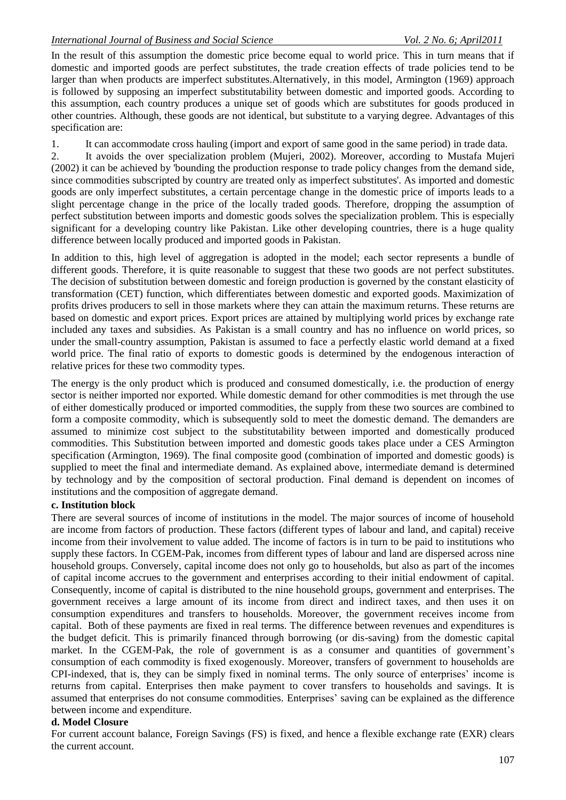In the result of this assumption the domestic price become equal to world price. This in turn means that if domestic and imported goods are perfect substitutes, the trade creation effects of trade policies tend to be larger than when products are imperfect substitutes.Alternatively, in this model, Armington (1969) approach is followed by supposing an imperfect substitutability between domestic and imported goods. According to this assumption, each country produces a unique set of goods which are substitutes for goods produced in other countries. Although, these goods are not identical, but substitute to a varying degree. Advantages of this specification are:

1. It can accommodate cross hauling (import and export of same good in the same period) in trade data.

2. It avoids the over specialization problem (Mujeri, 2002). Moreover, according to Mustafa Mujeri (2002) it can be achieved by 'bounding the production response to trade policy changes from the demand side, since commodities subscripted by country are treated only as imperfect substitutes'. As imported and domestic goods are only imperfect substitutes, a certain percentage change in the domestic price of imports leads to a slight percentage change in the price of the locally traded goods. Therefore, dropping the assumption of perfect substitution between imports and domestic goods solves the specialization problem. This is especially significant for a developing country like Pakistan. Like other developing countries, there is a huge quality difference between locally produced and imported goods in Pakistan.

In addition to this, high level of aggregation is adopted in the model; each sector represents a bundle of different goods. Therefore, it is quite reasonable to suggest that these two goods are not perfect substitutes. The decision of substitution between domestic and foreign production is governed by the constant elasticity of transformation (CET) function, which differentiates between domestic and exported goods. Maximization of profits drives producers to sell in those markets where they can attain the maximum returns. These returns are based on domestic and export prices. Export prices are attained by multiplying world prices by exchange rate included any taxes and subsidies. As Pakistan is a small country and has no influence on world prices, so under the small-country assumption, Pakistan is assumed to face a perfectly elastic world demand at a fixed world price. The final ratio of exports to domestic goods is determined by the endogenous interaction of relative prices for these two commodity types.

The energy is the only product which is produced and consumed domestically, i.e. the production of energy sector is neither imported nor exported. While domestic demand for other commodities is met through the use of either domestically produced or imported commodities, the supply from these two sources are combined to form a composite commodity, which is subsequently sold to meet the domestic demand. The demanders are assumed to minimize cost subject to the substitutability between imported and domestically produced commodities. This Substitution between imported and domestic goods takes place under a CES Armington specification (Armington, 1969). The final composite good (combination of imported and domestic goods) is supplied to meet the final and intermediate demand. As explained above, intermediate demand is determined by technology and by the composition of sectoral production. Final demand is dependent on incomes of institutions and the composition of aggregate demand.

#### **c. Institution block**

There are several sources of income of institutions in the model. The major sources of income of household are income from factors of production. These factors (different types of labour and land, and capital) receive income from their involvement to value added. The income of factors is in turn to be paid to institutions who supply these factors. In CGEM-Pak, incomes from different types of labour and land are dispersed across nine household groups. Conversely, capital income does not only go to households, but also as part of the incomes of capital income accrues to the government and enterprises according to their initial endowment of capital. Consequently, income of capital is distributed to the nine household groups, government and enterprises. The government receives a large amount of its income from direct and indirect taxes, and then uses it on consumption expenditures and transfers to households. Moreover, the government receives income from capital. Both of these payments are fixed in real terms. The difference between revenues and expenditures is the budget deficit. This is primarily financed through borrowing (or dis-saving) from the domestic capital market. In the CGEM-Pak, the role of government is as a consumer and quantities of government's consumption of each commodity is fixed exogenously. Moreover, transfers of government to households are CPI-indexed, that is, they can be simply fixed in nominal terms. The only source of enterprises" income is returns from capital. Enterprises then make payment to cover transfers to households and savings. It is assumed that enterprises do not consume commodities. Enterprises" saving can be explained as the difference between income and expenditure.

## **d. Model Closure**

For current account balance, Foreign Savings (FS) is fixed, and hence a flexible exchange rate (EXR) clears the current account.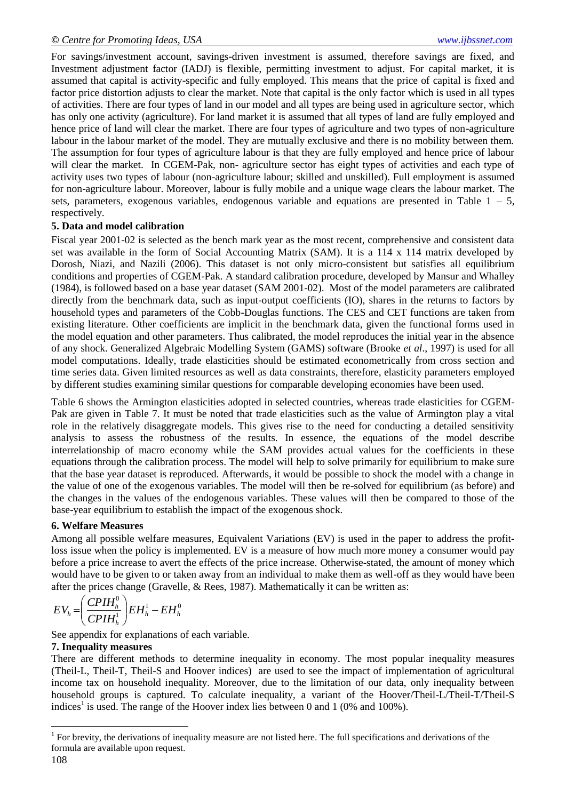For savings/investment account, savings-driven investment is assumed, therefore savings are fixed, and Investment adjustment factor (IADJ) is flexible, permitting investment to adjust. For capital market, it is assumed that capital is activity-specific and fully employed. This means that the price of capital is fixed and factor price distortion adjusts to clear the market. Note that capital is the only factor which is used in all types of activities. There are four types of land in our model and all types are being used in agriculture sector, which has only one activity (agriculture). For land market it is assumed that all types of land are fully employed and hence price of land will clear the market. There are four types of agriculture and two types of non-agriculture labour in the labour market of the model. They are mutually exclusive and there is no mobility between them. The assumption for four types of agriculture labour is that they are fully employed and hence price of labour will clear the market. In CGEM-Pak, non- agriculture sector has eight types of activities and each type of activity uses two types of labour (non-agriculture labour; skilled and unskilled). Full employment is assumed for non-agriculture labour. Moreover, labour is fully mobile and a unique wage clears the labour market. The sets, parameters, exogenous variables, endogenous variable and equations are presented in Table  $1 - 5$ , respectively.

### **5. Data and model calibration**

Fiscal year 2001-02 is selected as the bench mark year as the most recent, comprehensive and consistent data set was available in the form of Social Accounting Matrix (SAM). It is a 114 x 114 matrix developed by Dorosh, Niazi, and Nazili (2006). This dataset is not only micro-consistent but satisfies all equilibrium conditions and properties of CGEM-Pak. A standard calibration procedure, developed by Mansur and Whalley (1984), is followed based on a base year dataset (SAM 2001-02). Most of the model parameters are calibrated directly from the benchmark data, such as input-output coefficients (IO), shares in the returns to factors by household types and parameters of the Cobb-Douglas functions. The CES and CET functions are taken from existing literature. Other coefficients are implicit in the benchmark data, given the functional forms used in the model equation and other parameters. Thus calibrated, the model reproduces the initial year in the absence of any shock. Generalized Algebraic Modelling System (GAMS) software (Brooke *et al*., 1997) is used for all model computations. Ideally, trade elasticities should be estimated econometrically from cross section and time series data. Given limited resources as well as data constraints, therefore, elasticity parameters employed by different studies examining similar questions for comparable developing economies have been used.

Table 6 shows the Armington elasticities adopted in selected countries, whereas trade elasticities for CGEM-Pak are given in Table 7. It must be noted that trade elasticities such as the value of Armington play a vital role in the relatively disaggregate models. This gives rise to the need for conducting a detailed sensitivity analysis to assess the robustness of the results. In essence, the equations of the model describe interrelationship of macro economy while the SAM provides actual values for the coefficients in these equations through the calibration process. The model will help to solve primarily for equilibrium to make sure that the base year dataset is reproduced. Afterwards, it would be possible to shock the model with a change in the value of one of the exogenous variables. The model will then be re-solved for equilibrium (as before) and the changes in the values of the endogenous variables. These values will then be compared to those of the base-year equilibrium to establish the impact of the exogenous shock.

## **6. Welfare Measures**

Among all possible welfare measures, Equivalent Variations (EV) is used in the paper to address the profitloss issue when the policy is implemented. EV is a measure of how much more money a consumer would pay before a price increase to avert the effects of the price increase. Otherwise-stated, the amount of money which would have to be given to or taken away from an individual to make them as well-off as they would have been after the prices change (Gravelle, & Rees, 1987). Mathematically it can be written as:

$$
EV_h = \left(\frac{CPIH_h^0}{CPIH_h^1}\right)EH_h^1 - EH_h^0
$$

See appendix for explanations of each variable.

#### **7. Inequality measures**

There are different methods to determine inequality in economy. The most popular inequality measures (Theil-L, Theil-T, Theil-S and Hoover indices) are used to see the impact of implementation of agricultural income tax on household inequality. Moreover, due to the limitation of our data, only inequality between household groups is captured. To calculate inequality, a variant of the Hoover/Theil-L/Theil-T/Theil-S indices<sup>1</sup> is used. The range of the Hoover index lies between 0 and 1 (0% and 100%).

1

 $<sup>1</sup>$  For brevity, the derivations of inequality measure are not listed here. The full specifications and derivations of the</sup> formula are available upon request.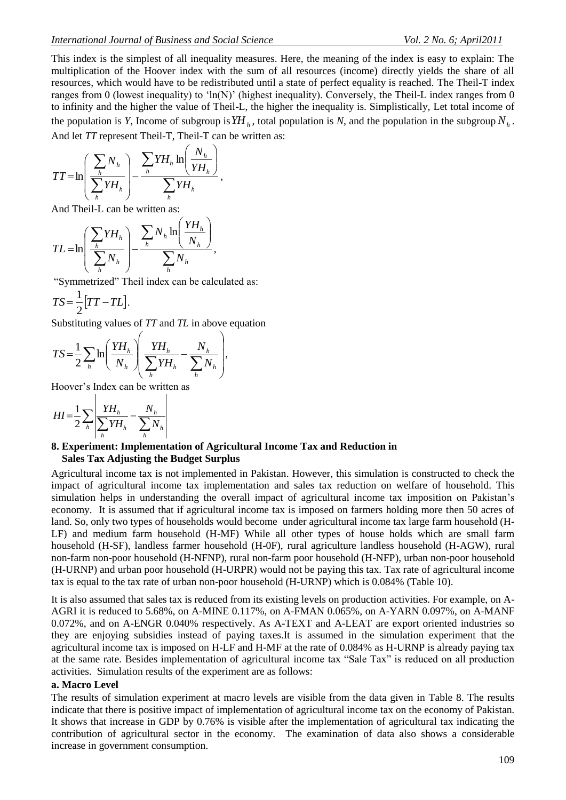This index is the simplest of all inequality measures. Here, the meaning of the index is easy to explain: The multiplication of the Hoover index with the sum of all resources (income) directly yields the share of all resources, which would have to be redistributed until a state of perfect equality is reached. The Theil-T index ranges from 0 (lowest inequality) to 'ln(N)' (highest inequality). Conversely, the Theil-L index ranges from 0 to infinity and the higher the value of Theil-L, the higher the inequality is. Simplistically, Let total income of the population is *Y*, Income of subgroup is  $YH_h$ , total population is *N*, and the population in the subgroup  $N_h$ . And let *TT* represent Theil-T, Theil-T can be written as:

$$
TT = \ln\left(\frac{\sum_h N_h}{\sum_h YH_h}\right) - \frac{\sum_h YH_h \ln\left(\frac{N_h}{YH_h}\right)}{\sum_h YH_h},
$$

And Theil-L can be written as:

$$
TL = \ln\left(\frac{\sum_{h} YH_{h}}{\sum_{h} N_{h}}\right) - \frac{\sum_{h} N_{h} \ln\left(\frac{YH_{h}}{N_{h}}\right)}{\sum_{h} N_{h}},
$$

"Symmetrized" Theil index can be calculated as:

$$
TS = \frac{1}{2}[TT - TL].
$$

Substituting values of *TT* and *TL* in above equation

 $\blacksquare$ 

$$
TS = \frac{1}{2} \sum_{h} \ln \left( \frac{YH_h}{N_h} \right) \left( \frac{YH_h}{\sum_{h} YH_h} - \frac{N_h}{\sum_{h} N_h} \right),
$$

Hoover"s Index can be written as  $\mathbf{I}$ 

$$
HI = \frac{1}{2} \sum_{h} \left| \frac{YH_h}{YH_h} - \frac{N_h}{\sum_{h} N_h} \right|
$$

#### **8. Experiment: Implementation of Agricultural Income Tax and Reduction in Sales Tax Adjusting the Budget Surplus**

Agricultural income tax is not implemented in Pakistan. However, this simulation is constructed to check the impact of agricultural income tax implementation and sales tax reduction on welfare of household. This simulation helps in understanding the overall impact of agricultural income tax imposition on Pakistan's economy. It is assumed that if agricultural income tax is imposed on farmers holding more then 50 acres of land. So, only two types of households would become under agricultural income tax large farm household (H-LF) and medium farm household (H-MF) While all other types of house holds which are small farm household (H-SF), landless farmer household (H-0F), rural agriculture landless household (H-AGW), rural non-farm non-poor household (H-NFNP), rural non-farm poor household (H-NFP), urban non-poor household (H-URNP) and urban poor household (H-URPR) would not be paying this tax. Tax rate of agricultural income tax is equal to the tax rate of urban non-poor household (H-URNP) which is 0.084% (Table 10).

It is also assumed that sales tax is reduced from its existing levels on production activities. For example, on A-AGRI it is reduced to 5.68%, on A-MINE 0.117%, on A-FMAN 0.065%, on A-YARN 0.097%, on A-MANF 0.072%, and on A-ENGR 0.040% respectively. As A-TEXT and A-LEAT are export oriented industries so they are enjoying subsidies instead of paying taxes.It is assumed in the simulation experiment that the agricultural income tax is imposed on H-LF and H-MF at the rate of 0.084% as H-URNP is already paying tax at the same rate. Besides implementation of agricultural income tax "Sale Tax" is reduced on all production activities. Simulation results of the experiment are as follows:

#### **a. Macro Level**

The results of simulation experiment at macro levels are visible from the data given in Table 8. The results indicate that there is positive impact of implementation of agricultural income tax on the economy of Pakistan. It shows that increase in GDP by 0.76% is visible after the implementation of agricultural tax indicating the contribution of agricultural sector in the economy. The examination of data also shows a considerable increase in government consumption.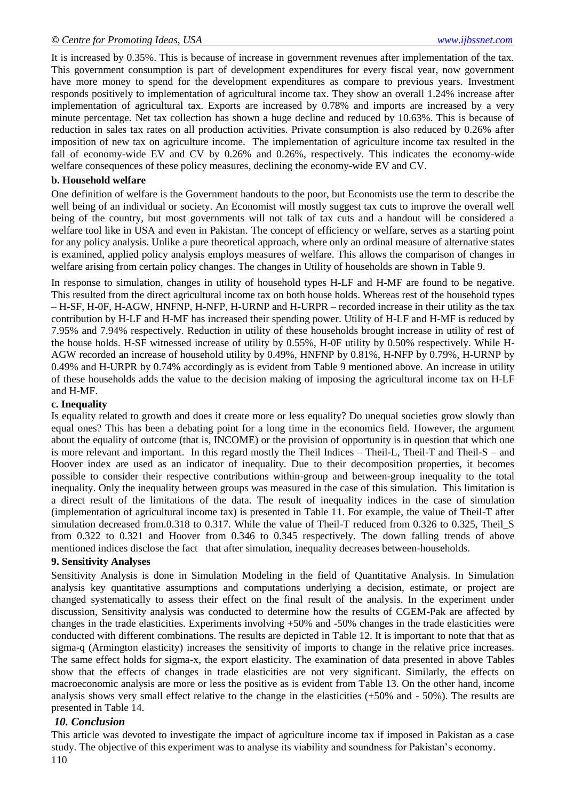It is increased by 0.35%. This is because of increase in government revenues after implementation of the tax. This government consumption is part of development expenditures for every fiscal year, now government have more money to spend for the development expenditures as compare to previous years. Investment responds positively to implementation of agricultural income tax. They show an overall 1.24% increase after implementation of agricultural tax. Exports are increased by 0.78% and imports are increased by a very minute percentage. Net tax collection has shown a huge decline and reduced by 10.63%. This is because of reduction in sales tax rates on all production activities. Private consumption is also reduced by 0.26% after imposition of new tax on agriculture income. The implementation of agriculture income tax resulted in the fall of economy-wide EV and CV by 0.26% and 0.26%, respectively. This indicates the economy-wide welfare consequences of these policy measures, declining the economy-wide EV and CV.

#### **b. Household welfare**

One definition of welfare is the Government handouts to the poor, but Economists use the term to describe the well being of an individual or society. An Economist will mostly suggest tax cuts to improve the overall well being of the country, but most governments will not talk of tax cuts and a handout will be considered a welfare tool like in USA and even in Pakistan. The concept of efficiency or welfare, serves as a starting point for any policy analysis. Unlike a pure theoretical approach, where only an ordinal measure of alternative states is examined, applied policy analysis employs measures of welfare. This allows the comparison of changes in welfare arising from certain policy changes. The changes in Utility of households are shown in Table 9.

In response to simulation, changes in utility of household types H-LF and H-MF are found to be negative. This resulted from the direct agricultural income tax on both house holds. Whereas rest of the household types – H-SF, H-0F, H-AGW, HNFNP, H-NFP, H-URNP and H-URPR – recorded increase in their utility as the tax contribution by H-LF and H-MF has increased their spending power. Utility of H-LF and H-MF is reduced by 7.95% and 7.94% respectively. Reduction in utility of these households brought increase in utility of rest of the house holds. H-SF witnessed increase of utility by 0.55%, H-0F utility by 0.50% respectively. While H-AGW recorded an increase of household utility by 0.49%, HNFNP by 0.81%, H-NFP by 0.79%, H-URNP by 0.49% and H-URPR by 0.74% accordingly as is evident from Table 9 mentioned above. An increase in utility of these households adds the value to the decision making of imposing the agricultural income tax on H-LF and H-MF.

#### **c. Inequality**

Is equality related to growth and does it create more or less equality? Do unequal societies grow slowly than equal ones? This has been a debating point for a long time in the economics field. However, the argument about the equality of outcome (that is, INCOME) or the provision of opportunity is in question that which one is more relevant and important. In this regard mostly the Theil Indices – Theil-L, Theil-T and Theil-S – and Hoover index are used as an indicator of inequality. Due to their decomposition properties, it becomes possible to consider their respective contributions within-group and between-group inequality to the total inequality. Only the inequality between groups was measured in the case of this simulation. This limitation is a direct result of the limitations of the data. The result of inequality indices in the case of simulation (implementation of agricultural income tax) is presented in Table 11. For example, the value of Theil-T after simulation decreased from.0.318 to 0.317. While the value of Theil-T reduced from 0.326 to 0.325, Theil\_S from 0.322 to 0.321 and Hoover from 0.346 to 0.345 respectively. The down falling trends of above mentioned indices disclose the fact that after simulation, inequality decreases between-households.

#### **9. Sensitivity Analyses**

Sensitivity Analysis is done in Simulation Modeling in the field of Quantitative Analysis. In Simulation analysis key quantitative assumptions and computations underlying a decision, estimate, or project are changed systematically to assess their effect on the final result of the analysis. In the experiment under discussion, Sensitivity analysis was conducted to determine how the results of CGEM-Pak are affected by changes in the trade elasticities. Experiments involving +50% and -50% changes in the trade elasticities were conducted with different combinations. The results are depicted in Table 12. It is important to note that that as sigma-q (Armington elasticity) increases the sensitivity of imports to change in the relative price increases. The same effect holds for sigma-x, the export elasticity. The examination of data presented in above Tables show that the effects of changes in trade elasticities are not very significant. Similarly, the effects on macroeconomic analysis are more or less the positive as is evident from Table 13. On the other hand, income analysis shows very small effect relative to the change in the elasticities (+50% and - 50%). The results are presented in Table 14.

#### *10. Conclusion*

110 This article was devoted to investigate the impact of agriculture income tax if imposed in Pakistan as a case study. The objective of this experiment was to analyse its viability and soundness for Pakistan"s economy.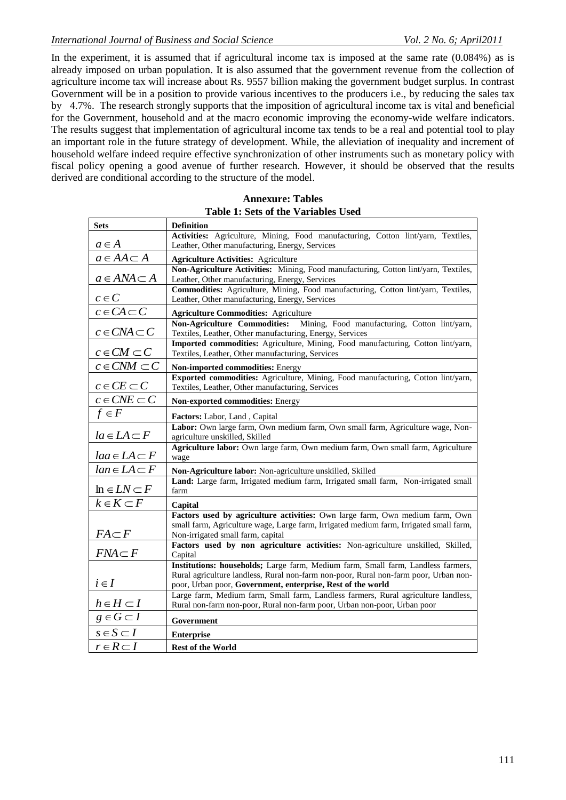In the experiment, it is assumed that if agricultural income tax is imposed at the same rate (0.084%) as is already imposed on urban population. It is also assumed that the government revenue from the collection of agriculture income tax will increase about Rs. 9557 billion making the government budget surplus. In contrast Government will be in a position to provide various incentives to the producers i.e., by reducing the sales tax by 4.7%. The research strongly supports that the imposition of agricultural income tax is vital and beneficial for the Government, household and at the macro economic improving the economy-wide welfare indicators. The results suggest that implementation of agricultural income tax tends to be a real and potential tool to play an important role in the future strategy of development. While, the alleviation of inequality and increment of household welfare indeed require effective synchronization of other instruments such as monetary policy with fiscal policy opening a good avenue of further research. However, it should be observed that the results derived are conditional according to the structure of the model.

| <b>Sets</b>                                             | <b>Definition</b>                                                                      |  |  |  |
|---------------------------------------------------------|----------------------------------------------------------------------------------------|--|--|--|
|                                                         | Activities: Agriculture, Mining, Food manufacturing, Cotton lint/yarn, Textiles,       |  |  |  |
| $a \in A$                                               | Leather, Other manufacturing, Energy, Services                                         |  |  |  |
| $a \in AA \subset A$                                    | <b>Agriculture Activities: Agriculture</b>                                             |  |  |  |
|                                                         | Non-Agriculture Activities: Mining, Food manufacturing, Cotton lint/yarn, Textiles,    |  |  |  |
| $a \in ANA \subset A$                                   | Leather, Other manufacturing, Energy, Services                                         |  |  |  |
|                                                         | Commodities: Agriculture, Mining, Food manufacturing, Cotton lint/yarn, Textiles,      |  |  |  |
| $c \in C$                                               | Leather, Other manufacturing, Energy, Services                                         |  |  |  |
| $c \in CA \subset C$                                    | <b>Agriculture Commodities: Agriculture</b>                                            |  |  |  |
|                                                         | Mining, Food manufacturing, Cotton lint/yarn,<br>Non-Agriculture Commodities:          |  |  |  |
| $c \in CMA \subset C$                                   | Textiles, Leather, Other manufacturing, Energy, Services                               |  |  |  |
|                                                         | Imported commodities: Agriculture, Mining, Food manufacturing, Cotton lint/yarn,       |  |  |  |
| $c \in CM \subset C$                                    | Textiles, Leather, Other manufacturing, Services                                       |  |  |  |
| $c \in CNM \subset C$                                   | <b>Non-imported commodities: Energy</b>                                                |  |  |  |
|                                                         | Exported commodities: Agriculture, Mining, Food manufacturing, Cotton lint/yarn,       |  |  |  |
| $c \in CE \subset C$                                    | Textiles, Leather, Other manufacturing, Services                                       |  |  |  |
| $c \in CNE \subset C$                                   | Non-exported commodities: Energy                                                       |  |  |  |
| $f \in F$                                               | Factors: Labor, Land, Capital                                                          |  |  |  |
|                                                         | Labor: Own large farm, Own medium farm, Own small farm, Agriculture wage, Non-         |  |  |  |
| $la \in LA \subset F$<br>agriculture unskilled, Skilled |                                                                                        |  |  |  |
|                                                         | Agriculture labor: Own large farm, Own medium farm, Own small farm, Agriculture        |  |  |  |
| $la \in LA \subset F$                                   | wage                                                                                   |  |  |  |
| $lan \in LA \subset F$                                  | Non-Agriculture labor: Non-agriculture unskilled, Skilled                              |  |  |  |
|                                                         | Land: Large farm, Irrigated medium farm, Irrigated small farm, Non-irrigated small     |  |  |  |
| $\ln \in LN \subset F$                                  | farm                                                                                   |  |  |  |
| $k \in K \subset F$                                     | Capital                                                                                |  |  |  |
|                                                         | Factors used by agriculture activities: Own large farm, Own medium farm, Own           |  |  |  |
|                                                         | small farm, Agriculture wage, Large farm, Irrigated medium farm, Irrigated small farm, |  |  |  |
| $FA \subset F$                                          | Non-irrigated small farm, capital                                                      |  |  |  |
|                                                         | Factors used by non agriculture activities: Non-agriculture unskilled, Skilled,        |  |  |  |
| $FNA \subset F$                                         | Capital                                                                                |  |  |  |
|                                                         | Institutions: households; Large farm, Medium farm, Small farm, Landless farmers,       |  |  |  |
|                                                         | Rural agriculture landless, Rural non-farm non-poor, Rural non-farm poor, Urban non-   |  |  |  |
| $i \in I$                                               | poor, Urban poor, Government, enterprise, Rest of the world                            |  |  |  |
|                                                         | Large farm, Medium farm, Small farm, Landless farmers, Rural agriculture landless,     |  |  |  |
| $h \in H \subset I$                                     | Rural non-farm non-poor, Rural non-farm poor, Urban non-poor, Urban poor               |  |  |  |
| $g \in G \subset I$                                     | Government                                                                             |  |  |  |
| $s \in S \subset I$                                     | <b>Enterprise</b>                                                                      |  |  |  |
| $r \in R \subset I$                                     | Rest of the World                                                                      |  |  |  |

### **Annexure: Tables Table 1: Sets of the Variables Used**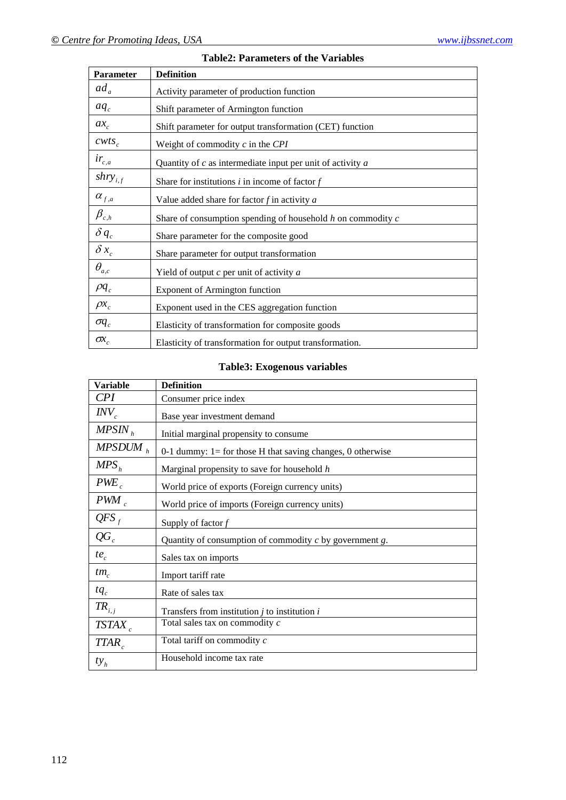| <b>Parameter</b>                  | <b>Definition</b>                                               |
|-----------------------------------|-----------------------------------------------------------------|
| $ad_a$                            | Activity parameter of production function                       |
| $aq_c$                            | Shift parameter of Armington function                           |
| $ax_c$                            | Shift parameter for output transformation (CET) function        |
| $CW$ ts <sub>c</sub>              | Weight of commodity $c$ in the CPI                              |
| $ir_{c,a}$                        | Quantity of $c$ as intermediate input per unit of activity $a$  |
| $shry_{i,f}$                      | Share for institutions $i$ in income of factor $f$              |
| $\alpha_{_{f,a}}$                 | Value added share for factor $f$ in activity $a$                |
| $\beta_{c,h}$                     | Share of consumption spending of household $h$ on commodity $c$ |
| $\delta q_c$                      | Share parameter for the composite good                          |
| $\delta x_c$                      | Share parameter for output transformation                       |
| $\theta_{\scriptscriptstyle a,c}$ | Yield of output $c$ per unit of activity $a$                    |
| $\rho q_{\scriptscriptstyle c}$   | <b>Exponent of Armington function</b>                           |
| $\rho x_c$                        | Exponent used in the CES aggregation function                   |
| $\sigma q_c$                      | Elasticity of transformation for composite goods                |
| $\sigma x_c$                      | Elasticity of transformation for output transformation.         |

#### **Table2: Parameters of the Variables**

## **Table3: Exogenous variables**

| <b>Variable</b> | <b>Definition</b>                                             |
|-----------------|---------------------------------------------------------------|
| CPI             | Consumer price index                                          |
| $INV_c$         | Base year investment demand                                   |
| $MPSIM_{h}$     | Initial marginal propensity to consume                        |
| $MPSDUM_h$      | 0-1 dummy: $1 =$ for those H that saving changes, 0 otherwise |
| $MPS_h$         | Marginal propensity to save for household $h$                 |
| $PWE_{c}$       | World price of exports (Foreign currency units)               |
| $PWM_c$         | World price of imports (Foreign currency units)               |
| $QFS_f$         | Supply of factor $f$                                          |
| $QG_c$          | Quantity of consumption of commodity $c$ by government $g$ .  |
| $te_c$          | Sales tax on imports                                          |
| $tm_c$          | Import tariff rate                                            |
| $tq_c$          | Rate of sales tax                                             |
| $TR_{i,j}$      | Transfers from institution $j$ to institution $i$             |
| $TSTAX_c$       | Total sales tax on commodity $c$                              |
| $TTAR_c$        | Total tariff on commodity $c$                                 |
| $ty_h$          | Household income tax rate                                     |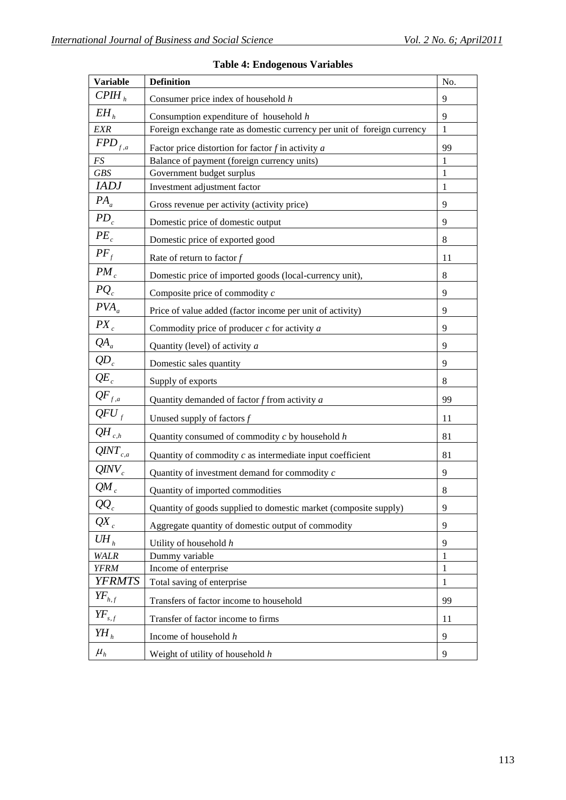| <b>Variable</b>                                           | <b>Definition</b>                                                       | No.          |
|-----------------------------------------------------------|-------------------------------------------------------------------------|--------------|
| $\mathcal{C}\!\mathit{PIH}\xspace_{\scriptscriptstyle h}$ | Consumer price index of household $h$                                   | 9            |
| $EH_{h}$                                                  | Consumption expenditure of household $h$                                | 9            |
| <b>EXR</b>                                                | Foreign exchange rate as domestic currency per unit of foreign currency |              |
| $FPD_{f,a}$                                               | Factor price distortion for factor $f$ in activity $a$                  | 99           |
| FS                                                        | Balance of payment (foreign currency units)                             | 1            |
| <b>GBS</b>                                                | Government budget surplus                                               | 1            |
| <b>IADJ</b>                                               | Investment adjustment factor                                            | 1            |
| $PA_a$                                                    | Gross revenue per activity (activity price)                             | 9            |
| $PD_c$                                                    | Domestic price of domestic output                                       | 9            |
| $PE_c$                                                    | Domestic price of exported good                                         | 8            |
| $PF_{f}$                                                  | Rate of return to factor $f$                                            | 11           |
| $PM_c$                                                    | Domestic price of imported goods (local-currency unit),                 | 8            |
| $PQ_c$                                                    | Composite price of commodity $c$                                        | 9            |
| $PVA_a$                                                   | Price of value added (factor income per unit of activity)               | 9            |
| $PX_c$                                                    | Commodity price of producer $c$ for activity $a$                        | 9            |
| $QA_a$                                                    | Quantity (level) of activity a                                          | 9            |
| $QD_c$                                                    | Domestic sales quantity                                                 | 9            |
| $QE_c$                                                    | Supply of exports                                                       | 8            |
| $QF_{f,a}$                                                | Quantity demanded of factor $f$ from activity $a$                       | 99           |
| $QFU_{f}$                                                 | Unused supply of factors $f$                                            | 11           |
| $QH_{c,h}$                                                | Quantity consumed of commodity $c$ by household $h$                     | 81           |
| $QINT_{c,a}$                                              | Quantity of commodity $c$ as intermediate input coefficient             | 81           |
| $QINV_c$                                                  | Quantity of investment demand for commodity $c$                         | 9            |
| $QM_c$                                                    | Quantity of imported commodities                                        | 8            |
| $Q\overline{Q}_c$                                         | Quantity of goods supplied to domestic market (composite supply)        | 9            |
| $QX_c$                                                    | Aggregate quantity of domestic output of commodity                      | 9            |
| $U\!H_{h}$                                                | Utility of household h                                                  | 9            |
| <b>WALR</b>                                               | Dummy variable                                                          | $\mathbf{1}$ |
| <b>YFRM</b>                                               | Income of enterprise                                                    | $\mathbf{1}$ |
| <b>YFRMTS</b>                                             | Total saving of enterprise                                              | 1            |
| $\overline{Y\!F}_{h,f}$                                   | Transfers of factor income to household                                 | 99           |
| $Y\hspace{-0.1cm}F_{s,f}$                                 | Transfer of factor income to firms                                      | 11           |
| $YH_h$                                                    | Income of household h                                                   | 9            |
| $\mu_h$                                                   | Weight of utility of household $h$                                      | 9            |

## **Table 4: Endogenous Variables**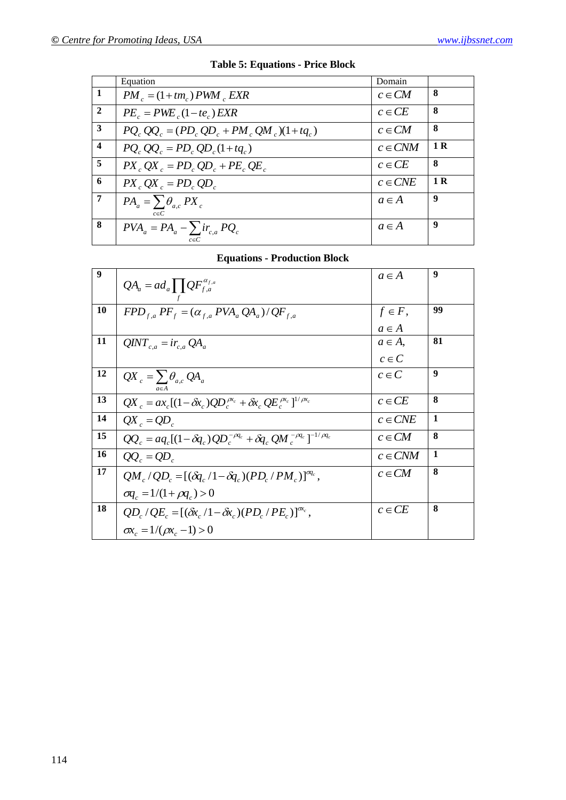|                         | Equation                                     | Domain      |                |
|-------------------------|----------------------------------------------|-------------|----------------|
| 1                       | $PM_c = (1 + tm_c) PWM_c EXR$                | $c \in CM$  | 8              |
| $\overline{2}$          | $PE_c = PWE_c(1-te_c)EXR$                    | $c \in CE$  | 8              |
| $3^{\circ}$             | $PQ_cQQ_c = (PD_cQD_c + PM_cQM_c)(1 + tq_c)$ | $c \in CM$  | 8              |
| $\overline{\mathbf{4}}$ | $PQ_cQQ_c = PD_cQD_c(1+tq_c)$                | $c \in CNM$ | 1 <sub>R</sub> |
| 5 <sup>1</sup>          | $PX_cQX_c = PD_cQD_c + PE_cQE_c$             | $c \in CE$  | 8              |
| 6                       | $PX_cQX_c=PD_cQD_c$                          | $c \in CNE$ | 1 <sub>R</sub> |
| 7                       | $PA_a = \sum \theta_{a,c} PX_c$<br>$c \in C$ | $a \in A$   | 9              |
| 8                       | $PVA_a = PA_a - \sum i r_{c,a} PQ_c$<br>c∈C  | $a \in A$   | 9              |

## **Table 5: Equations - Price Block**

## **Equations - Production Block**

| 9  |                                                                                                | $a \in A$   | $\boldsymbol{9}$ |
|----|------------------------------------------------------------------------------------------------|-------------|------------------|
|    | $QA_a = ad_a \prod QF_{f,a}^{\alpha_{f,a}}$                                                    |             |                  |
| 10 | $FPD_{f,a}PF_{f} = (\alpha_{f,a} PVA_{a} QA_{a})/QF_{f,a}$                                     | $f \in F$ , | 99               |
|    |                                                                                                | $a \in A$   |                  |
| 11 | $QINT_{c,a} = ir_{c,a}QA_a$                                                                    | $a \in A$ , | 81               |
|    |                                                                                                | $c \in C$   |                  |
| 12 | $QX_c = \sum \theta_{a,c} QA_a$                                                                | $c \in C$   | 9                |
| 13 | $QX_c = ax_c[(1-\delta x_c)QD_c^{\alpha_c} + \delta x_c QE_c^{\alpha_c}]^{1/\alpha_c}$         | $c \in CE$  | 8                |
| 14 | $QX_c = QD_c$                                                                                  | $c \in CNE$ | $\mathbf{1}$     |
| 15 | $QQ_c = a q_c [(1-\delta q_c) Q D_c^{-\rho q_c} + \delta q_c Q M_c^{-\rho q_c}]^{-1/\rho q_c}$ | $c \in CM$  | 8                |
| 16 | $QQ_c = QD_c$                                                                                  | $c \in CNM$ | 1                |
| 17 | $QM_{c}/QD_{c} = [(\delta q_{c}/1 - \delta q_{c})(PD_{c}/PM_{c})]^{\sigma q_{c}}$ ,            | $c \in CM$  | 8                |
|    | $\sigma q_c = 1/(1 + \rho q_c) > 0$                                                            |             |                  |
| 18 | $QD_c/QE_c = [(\delta x_c/1 - \delta x_c)(PD_c/PE_c)]^{\alpha_c}$ ,                            | $c \in CE$  | 8                |
|    | $\sigma x_c = 1/(\rho x_c - 1) > 0$                                                            |             |                  |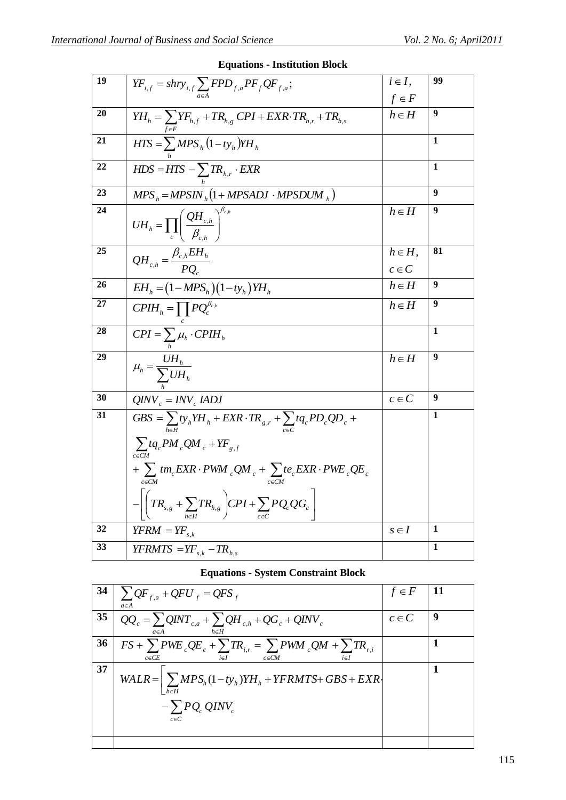| 19 | $YF_{i,f} = \text{shry}_{i,f} \sum FPD_{f,a} PF_f QF_{f,a};$                                                                                                                                                                                                                                                                                                                                                   | $i \in I$ , | 99           |
|----|----------------------------------------------------------------------------------------------------------------------------------------------------------------------------------------------------------------------------------------------------------------------------------------------------------------------------------------------------------------------------------------------------------------|-------------|--------------|
|    |                                                                                                                                                                                                                                                                                                                                                                                                                | $f \in F$   |              |
| 20 | $YH_{h} = \sum YF_{h,f} + TR_{h,g} CPI + EXR \cdot TR_{h,r} + TR_{h,s}$                                                                                                                                                                                                                                                                                                                                        | $h \in H$   | 9            |
| 21 | $\overline{HTS} = \sum_{h} MPS_{h} (1 - ty_{h}) YH_{h}$                                                                                                                                                                                                                                                                                                                                                        |             | $\mathbf{1}$ |
| 22 | $HDS = HTS - \sum TR_{h,r} \cdot EXR$                                                                                                                                                                                                                                                                                                                                                                          |             | $\mathbf{1}$ |
| 23 | $MPS_h = MPSIN_h(1 + MPSADI \cdot MPSDUM_h)$                                                                                                                                                                                                                                                                                                                                                                   |             | 9            |
| 24 | $UH_h = \prod_c \left(\frac{QH_{c,h}}{\beta_{c,h}}\right)^{\beta_c}$                                                                                                                                                                                                                                                                                                                                           | $h \in H$   | 9            |
| 25 | $\overline{QH_{c,h}} = \frac{\beta_{c,h} \overline{EH}_h}{PQ_c}$                                                                                                                                                                                                                                                                                                                                               | $h\in H$ ,  | 81           |
|    |                                                                                                                                                                                                                                                                                                                                                                                                                | $c \in C$   |              |
| 26 | $EH_{h} = (1 - MPS_{h})(1 - ty_{h})YH_{h}$                                                                                                                                                                                                                                                                                                                                                                     | $h \in H$   | 9            |
| 27 | $CPIH_h = \prod PQ_c^{\beta_{c,h}}$                                                                                                                                                                                                                                                                                                                                                                            | $h \in H$   | 9            |
| 28 | $\overline{CPI} = \sum_{k}^{\infty} \mu_k \cdot \overline{CPIH}_h$                                                                                                                                                                                                                                                                                                                                             |             | $\mathbf{1}$ |
| 29 | $\mu_{\scriptscriptstyle h} = \frac{U H_{\scriptscriptstyle h}}{\sum U H_{\scriptscriptstyle h}}$                                                                                                                                                                                                                                                                                                              | $h \in H$   | 9            |
| 30 | $\overline{Q}INV_c = \frac{INV_c}{MDJ}$                                                                                                                                                                                                                                                                                                                                                                        | $c \in C$   | 9            |
| 31 | $\label{eq:GBS} G\!B\!S = \sum t y_{h} Y\!H_{h} + E\!X\!R\cdot\!T\!R_{g,r} + \sum t q_{c} P\!D_{c}Q\!D_{c} +$<br>$\sum_{c} t q_c PM_cQM_c + YF_{g,f}$<br>+ $\sum_{c}$ tm <sub>c</sub> EXR · PWM <sub>c</sub> QM <sub>c</sub> + $\sum_{c}$ te <sub>c</sub> EXR · PWE <sub>c</sub> QE <sub>c</sub><br>$-\left(\left(TR_{s,g}+\sum_{l\in\mathcal{U}}TR_{h,g}\right)CPI+\sum_{l\in\mathcal{L}}PQ_{c}QG_{c}\right)$ |             | $\mathbf{1}$ |
| 32 | $YFRM = YF_{s,k}$                                                                                                                                                                                                                                                                                                                                                                                              | $s \in I$   | 1            |
| 33 | $YFRMTS = YF_{s,k} - TR_{h,s}$                                                                                                                                                                                                                                                                                                                                                                                 |             | $\mathbf{1}$ |

## **Equations - Institution Block**

## **Equations - System Constraint Block**

| 34 | $\sum QF_{f,a} + QFU_{f} = QFS_{f}$<br>$a \in A$                                                                                 | $f \in F$ | 11 |
|----|----------------------------------------------------------------------------------------------------------------------------------|-----------|----|
| 35 | $QQ_c = \sum QINT_{c,a} + \sum QH_{c,h} + QG_c + QINV_c$<br>$h \in H$                                                            | $c \in C$ | 9  |
| 36 | $FS + \sum PWE_{c}QE_{c} + \sum TR_{i,r} = \sum PWM_{c}QM + \sum TR_{r,i}$<br>$c \in CM$<br>$c \in CE$<br>$i \in I$<br>$i \in I$ |           |    |
| 37 | $WALR = \left  \sum MPS_h(1 - ty_h)YH_h + YFRMTS + GBS + EXR \right $                                                            |           |    |
|    | $-\sum PQ_c QINV_c$<br>$c \in C$                                                                                                 |           |    |
|    |                                                                                                                                  |           |    |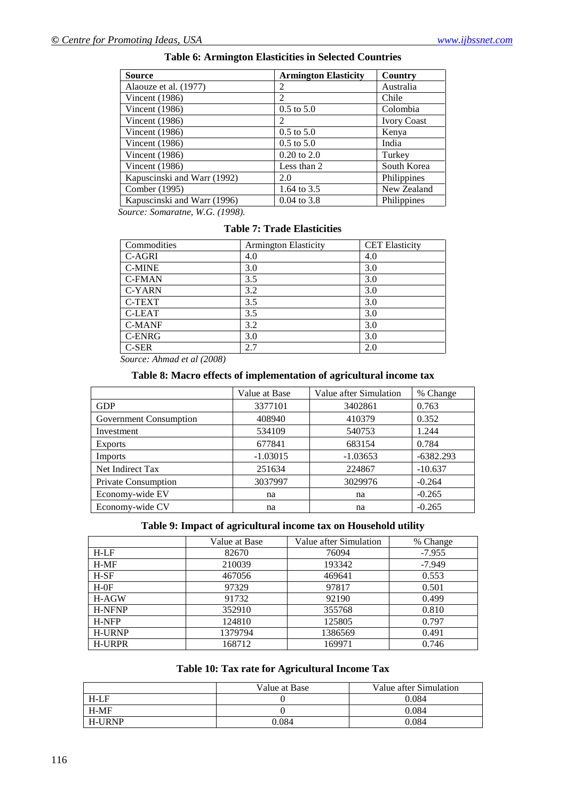| <b>Source</b>               | <b>Armington Elasticity</b> | Country            |
|-----------------------------|-----------------------------|--------------------|
| Alaouze et al. (1977)       | 2                           | Australia          |
| Vincent $(1986)$            | 2                           | Chile              |
| Vincent $(1986)$            | $0.5$ to $5.0$              | Colombia           |
| Vincent $(1986)$            | $\mathfrak{D}$              | <b>Ivory Coast</b> |
| Vincent $(1986)$            | $0.5 \text{ to } 5.0$       | Kenya              |
| Vincent $(1986)$            | $0.5$ to $5.0$              | India              |
| Vincent $(1986)$            | $0.20 \text{ to } 2.0$      | Turkey             |
| Vincent $(1986)$            | Less than 2                 | South Korea        |
| Kapuscinski and Warr (1992) | 2.0                         | Philippines        |
| Comber (1995)               | 1.64 to 3.5                 | New Zealand        |
| Kapuscinski and Warr (1996) | $0.04$ to 3.8               | Philippines        |

#### **Table 6: Armington Elasticities in Selected Countries**

 *Source: Somaratne, W.G. (1998).*

#### **Table 7: Trade Elasticities**

| Commodities   | <b>Armington Elasticity</b> | <b>CET Elasticity</b> |
|---------------|-----------------------------|-----------------------|
| C-AGRI        | 4.0                         | 4.0                   |
| <b>C-MINE</b> | 3.0                         | 3.0                   |
| C-FMAN        | 3.5                         | 3.0                   |
| <b>C-YARN</b> | 3.2                         | 3.0                   |
| <b>C-TEXT</b> | 3.5                         | 3.0                   |
| <b>C-LEAT</b> | 3.5                         | 3.0                   |
| <b>C-MANF</b> | 3.2                         | 3.0                   |
| <b>C-ENRG</b> | 3.0                         | 3.0                   |
| C-SER         | 2.7                         | 2.0                   |

 *Source: Ahmad et al (2008)*

#### **Table 8: Macro effects of implementation of agricultural income tax**

|                        | Value at Base | Value after Simulation | % Change    |
|------------------------|---------------|------------------------|-------------|
| <b>GDP</b>             | 3377101       | 3402861                | 0.763       |
| Government Consumption | 408940        | 410379                 | 0.352       |
| Investment             | 534109        | 540753                 | 1.244       |
| <b>Exports</b>         | 677841        | 683154                 | 0.784       |
| Imports                | $-1.03015$    | $-1.03653$             | $-6382.293$ |
| Net Indirect Tax       | 251634        | 224867                 | $-10.637$   |
| Private Consumption    | 3037997       | 3029976                | $-0.264$    |
| Economy-wide EV        | na            | na                     | $-0.265$    |
| Economy-wide CV        | na            | na                     | $-0.265$    |

#### **Table 9: Impact of agricultural income tax on Household utility**

|               | Value at Base | Value after Simulation | % Change |
|---------------|---------------|------------------------|----------|
| $H-LF$        | 82670         | 76094                  | $-7.955$ |
| $H-MF$        | 210039        | 193342                 | $-7.949$ |
| $H-SF$        | 467056        | 469641                 | 0.553    |
| $H-0F$        | 97329         | 97817                  | 0.501    |
| H-AGW         | 91732         | 92190                  | 0.499    |
| <b>H-NFNP</b> | 352910        | 355768                 | 0.810    |
| H-NFP         | 124810        | 125805                 | 0.797    |
| <b>H-URNP</b> | 1379794       | 1386569                | 0.491    |
| <b>H-URPR</b> | 168712        | 169971                 | 0.746    |

#### **Table 10: Tax rate for Agricultural Income Tax**

|        | Value at Base | Value after Simulation |
|--------|---------------|------------------------|
| H-LF   |               | 0.084                  |
| $H-MF$ |               | 0.084                  |
| H-URNP | 0.084         | 0.084                  |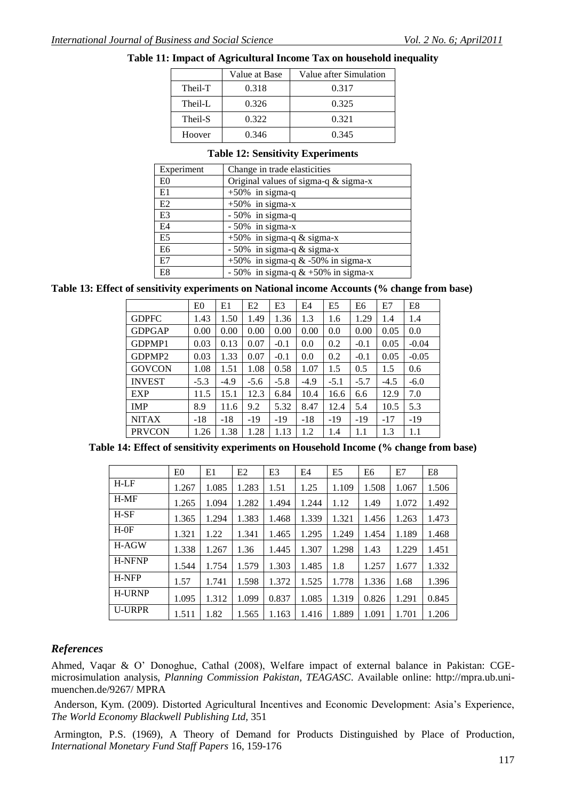#### **Table 11: Impact of Agricultural Income Tax on household inequality**

|         | Value at Base | Value after Simulation |  |  |  |
|---------|---------------|------------------------|--|--|--|
| Theil-T | 0.318         | 0.317                  |  |  |  |
| Theil-L | 0.326         | 0.325                  |  |  |  |
| Theil-S | 0.322         | 0.321                  |  |  |  |
| Hoover  | 0.346         | 0.345                  |  |  |  |

|  |  | <b>Table 12: Sensitivity Experiments</b> |
|--|--|------------------------------------------|
|--|--|------------------------------------------|

| Experiment     | Change in trade elasticities           |
|----------------|----------------------------------------|
| E <sub>0</sub> | Original values of sigma-q $&$ sigma-x |
| E1             | $+50\%$ in sigma-q                     |
| E2             | $+50\%$ in sigma-x                     |
| E <sub>3</sub> | $-50\%$ in sigma-q                     |
| E4             | $-50\%$ in sigma-x                     |
| E <sub>5</sub> | +50% in sigma-q $&$ sigma-x            |
| E <sub>6</sub> | - 50% in sigma-q & sigma-x             |
| E7             | +50% in sigma-q $&$ -50% in sigma-x    |
| E8             | - 50% in sigma-q $& 50\%$ in sigma-x   |

**Table 13: Effect of sensitivity experiments on National income Accounts (% change from base)**

|               | E <sub>0</sub> | E1     | E2     | E <sub>3</sub> | E4     | E <sub>5</sub> | E6     | E7     | E8      |
|---------------|----------------|--------|--------|----------------|--------|----------------|--------|--------|---------|
| <b>GDPFC</b>  | 1.43           | 1.50   | 1.49   | 1.36           | 1.3    | 1.6            | 1.29   | 1.4    | 1.4     |
| <b>GDPGAP</b> | 0.00           | 0.00   | 0.00   | 0.00           | 0.00   | 0.0            | 0.00   | 0.05   | 0.0     |
| GDPMP1        | 0.03           | 0.13   | 0.07   | $-0.1$         | 0.0    | 0.2            | $-0.1$ | 0.05   | $-0.04$ |
| GDPMP2        | 0.03           | 1.33   | 0.07   | $-0.1$         | 0.0    | 0.2            | $-0.1$ | 0.05   | $-0.05$ |
| <b>GOVCON</b> | 1.08           | 1.51   | 1.08   | 0.58           | 1.07   | 1.5            | 0.5    | 1.5    | 0.6     |
| <b>INVEST</b> | $-5.3$         | $-4.9$ | $-5.6$ | $-5.8$         | $-4.9$ | $-5.1$         | $-5.7$ | $-4.5$ | $-6.0$  |
| <b>EXP</b>    | 11.5           | 15.1   | 12.3   | 6.84           | 10.4   | 16.6           | 6.6    | 12.9   | 7.0     |
| <b>IMP</b>    | 8.9            | 11.6   | 9.2    | 5.32           | 8.47   | 12.4           | 5.4    | 10.5   | 5.3     |
| <b>NITAX</b>  | $-18$          | $-18$  | $-19$  | $-19$          | $-18$  | $-19$          | $-19$  | $-17$  | $-19$   |
| <b>PRVCON</b> | 1.26           | 1.38   | 1.28   | 1.13           | 1.2    | 1.4            | 1.1    | 1.3    | 1.1     |

**Table 14: Effect of sensitivity experiments on Household Income (% change from base)**

|               | E <sub>0</sub> | E1    | E2    | E <sub>3</sub> | E <sub>4</sub> | E <sub>5</sub> | E <sub>6</sub> | E7    | E8    |
|---------------|----------------|-------|-------|----------------|----------------|----------------|----------------|-------|-------|
| $H-LF$        | 1.267          | 1.085 | 1.283 | 1.51           | 1.25           | 1.109          | 1.508          | 1.067 | 1.506 |
| $H-MF$        | 1.265          | 1.094 | 1.282 | 1.494          | 1.244          | 1.12           | 1.49           | 1.072 | 1.492 |
| $H-SF$        | 1.365          | 1.294 | 1.383 | 1.468          | 1.339          | 1.321          | 1.456          | 1.263 | 1.473 |
| $H-0F$        | 1.321          | 1.22  | 1.341 | 1.465          | 1.295          | 1.249          | 1.454          | 1.189 | 1.468 |
| <b>H-AGW</b>  | 1.338          | 1.267 | 1.36  | 1.445          | 1.307          | 1.298          | 1.43           | 1.229 | 1.451 |
| <b>H-NFNP</b> | 1.544          | 1.754 | 1.579 | 1.303          | 1.485          | 1.8            | 1.257          | 1.677 | 1.332 |
| H-NFP         | 1.57           | 1.741 | 1.598 | 1.372          | 1.525          | 1.778          | 1.336          | 1.68  | 1.396 |
| <b>H-URNP</b> | 1.095          | 1.312 | 1.099 | 0.837          | 1.085          | 1.319          | 0.826          | 1.291 | 0.845 |
| <b>U-URPR</b> | 1.511          | 1.82  | 1.565 | 1.163          | 1.416          | 1.889          | 1.091          | 1.701 | 1.206 |

#### *References*

Ahmed, Vaqar & O" Donoghue, Cathal (2008), Welfare impact of external balance in Pakistan: CGEmicrosimulation analysis, *Planning Commission Pakistan, TEAGASC*. Available online: http://mpra.ub.unimuenchen.de/9267/ MPRA

Anderson, Kym. (2009). Distorted Agricultural Incentives and Economic Development: Asia"s Experience, *The World Economy Blackwell Publishing Ltd,* 351

Armington, P.S. (1969), A Theory of Demand for Products Distinguished by Place of Production, *International Monetary Fund Staff Papers* 16, 159-176